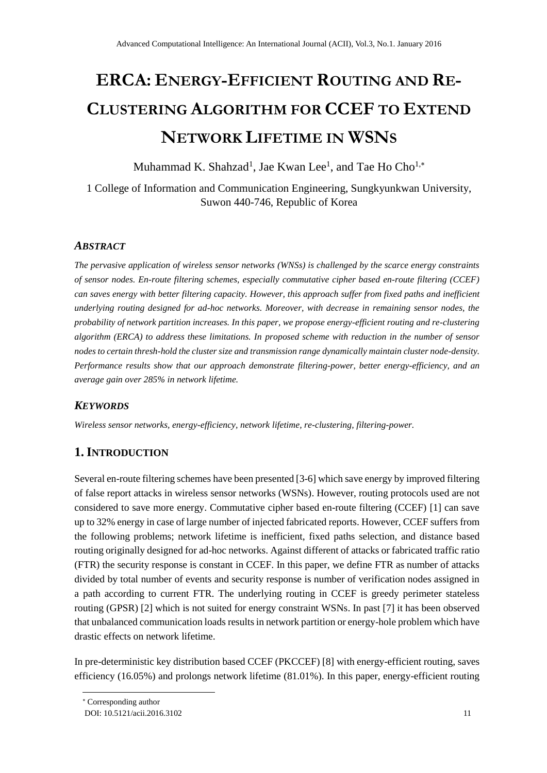# **ERCA: ENERGY-EFFICIENT ROUTING AND RE-CLUSTERING ALGORITHM FOR CCEF TO EXTEND NETWORK LIFETIME IN WSNS**

Muhammad K. Shahzad<sup>1</sup>, Jae Kwan Lee<sup>1</sup>, and Tae Ho Cho<sup>1,\*</sup>

1 College of Information and Communication Engineering, Sungkyunkwan University, Suwon 440-746, Republic of Korea

# *ABSTRACT*

*The pervasive application of wireless sensor networks (WNSs) is challenged by the scarce energy constraints of sensor nodes. En-route filtering schemes, especially commutative cipher based en-route filtering (CCEF) can saves energy with better filtering capacity. However, this approach suffer from fixed paths and inefficient underlying routing designed for ad-hoc networks. Moreover, with decrease in remaining sensor nodes, the probability of network partition increases. In this paper, we propose energy-efficient routing and re-clustering algorithm (ERCA) to address these limitations. In proposed scheme with reduction in the number of sensor nodes to certain thresh-hold the cluster size and transmission range dynamically maintain cluster node-density. Performance results show that our approach demonstrate filtering-power, better energy-efficiency, and an average gain over 285% in network lifetime.* 

# *KEYWORDS*

*Wireless sensor networks, energy-efficiency, network lifetime, re-clustering, filtering-power.*

# **1.INTRODUCTION**

Several en-route filtering schemes have been presented [3-6] which save energy by improved filtering of false report attacks in wireless sensor networks (WSNs). However, routing protocols used are not considered to save more energy. Commutative cipher based en-route filtering (CCEF) [1] can save up to 32% energy in case of large number of injected fabricated reports. However, CCEF suffers from the following problems; network lifetime is inefficient, fixed paths selection, and distance based routing originally designed for ad-hoc networks. Against different of attacks or fabricated traffic ratio (FTR) the security response is constant in CCEF. In this paper, we define FTR as number of attacks divided by total number of events and security response is number of verification nodes assigned in a path according to current FTR. The underlying routing in CCEF is greedy perimeter stateless routing (GPSR) [2] which is not suited for energy constraint WSNs. In past [7] it has been observed that unbalanced communication loads results in network partition or energy-hole problem which have drastic effects on network lifetime.

In pre-deterministic key distribution based CCEF (PKCCEF) [8] with energy-efficient routing, saves efficiency (16.05%) and prolongs network lifetime (81.01%). In this paper, energy-efficient routing

-

Corresponding author

DOI: 10.5121/acii.2016.3102 11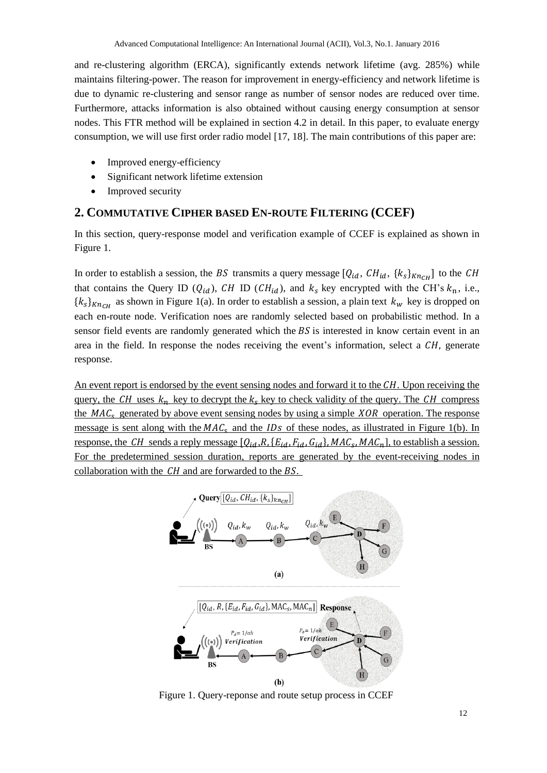and re-clustering algorithm (ERCA), significantly extends network lifetime (avg. 285%) while maintains filtering-power. The reason for improvement in energy-efficiency and network lifetime is due to dynamic re-clustering and sensor range as number of sensor nodes are reduced over time. Furthermore, attacks information is also obtained without causing energy consumption at sensor nodes. This FTR method will be explained in section 4.2 in detail. In this paper, to evaluate energy consumption, we will use first order radio model [17, 18]. The main contributions of this paper are:

- Improved energy-efficiency
- Significant network lifetime extension
- Improved security

# **2. COMMUTATIVE CIPHER BASED EN-ROUTE FILTERING (CCEF)**

In this section, query-response model and verification example of CCEF is explained as shown in Figure 1.

In order to establish a session, the BS transmits a query message  $[Q_{id}, CH_{id}, \{k_s\}_{KnCH}]$  to the CH that contains the Query ID ( $Q_{id}$ ), CH ID (CH<sub>id</sub>), and  $k_s$  key encrypted with the CH's  $k_n$ , i.e.,  $\{k_s\}_{Kn_{CH}}$  as shown in Figure 1(a). In order to establish a session, a plain text  $k_w$  key is dropped on each en-route node. Verification noes are randomly selected based on probabilistic method. In a sensor field events are randomly generated which the  $BS$  is interested in know certain event in an area in the field. In response the nodes receiving the event's information, select a  $CH$ , generate response.

An event report is endorsed by the event sensing nodes and forward it to the  $CH$ . Upon receiving the query, the CH uses  $k_n$  key to decrypt the  $k_s$  key to check validity of the query. The CH compress the  $MAC<sub>s</sub>$  generated by above event sensing nodes by using a simple  $XOR$  operation. The response message is sent along with the  $MAC<sub>s</sub>$  and the  $IDS$  of these nodes, as illustrated in Figure 1(b). In response, the CH sends a reply message  $[Q_{id}, R, {E_{id}, F_{id}, G_{id}}$ ,  $MAC_s$ ,  $MAC_n$ , to establish a session. For the predetermined session duration, reports are generated by the event-receiving nodes in collaboration with the  $CH$  and are forwarded to the  $BS$ .



Figure 1. Query-reponse and route setup process in CCEF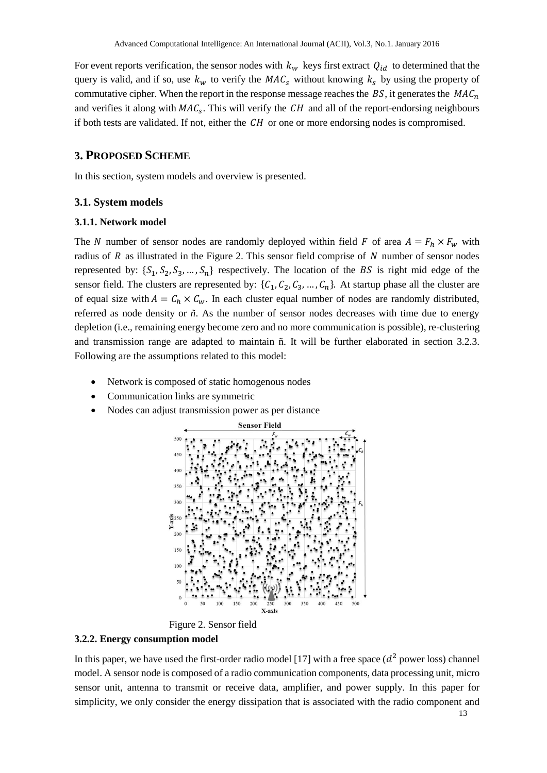For event reports verification, the sensor nodes with  $k_w$  keys first extract  $Q_{id}$  to determined that the query is valid, and if so, use  $k_w$  to verify the  $MAC<sub>s</sub>$  without knowing  $k_s$  by using the property of commutative cipher. When the report in the response message reaches the  $BS$ , it generates the  $MAC<sub>n</sub>$ and verifies it along with  $MAC<sub>s</sub>$ . This will verify the CH and all of the report-endorsing neighbours if both tests are validated. If not, either the  $CH$  or one or more endorsing nodes is compromised.

# **3. PROPOSED SCHEME**

In this section, system models and overview is presented.

#### **3.1. System models**

#### **3.1.1. Network model**

The N number of sensor nodes are randomly deployed within field F of area  $A = F_h \times F_w$  with radius of  $R$  as illustrated in the Figure 2. This sensor field comprise of  $N$  number of sensor nodes represented by:  $\{S_1, S_2, S_3, ..., S_n\}$  respectively. The location of the BS is right mid edge of the sensor field. The clusters are represented by:  $\{C_1, C_2, C_3, ..., C_n\}$ . At startup phase all the cluster are of equal size with  $A = C_h \times C_w$ . In each cluster equal number of nodes are randomly distributed, referred as node density or *ñ*. As the number of sensor nodes decreases with time due to energy depletion (i.e., remaining energy become zero and no more communication is possible), re-clustering and transmission range are adapted to maintain ñ. It will be further elaborated in section 3.2.3. Following are the assumptions related to this model:

- Network is composed of static homogenous nodes
- Communication links are symmetric
- Nodes can adjust transmission power as per distance



Figure 2. Sensor field

#### **3.2.2. Energy consumption model**

In this paper, we have used the first-order radio model [17] with a free space  $(d^2$  power loss) channel model. A sensor node is composed of a radio communication components, data processing unit, micro sensor unit, antenna to transmit or receive data, amplifier, and power supply. In this paper for simplicity, we only consider the energy dissipation that is associated with the radio component and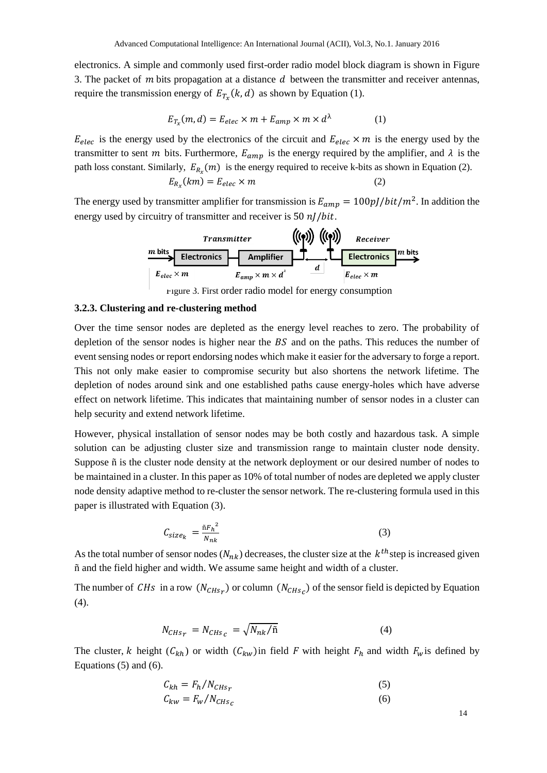electronics. A simple and commonly used first-order radio model block diagram is shown in Figure 3. The packet of  $m$  bits propagation at a distance  $d$  between the transmitter and receiver antennas, require the transmission energy of  $E_{T_x}(k, d)$  as shown by Equation (1).

$$
E_{T_x}(m,d) = E_{elec} \times m + E_{amp} \times m \times d^{\lambda}
$$
 (1)

 $E_{elec}$  is the energy used by the electronics of the circuit and  $E_{elec} \times m$  is the energy used by the transmitter to sent *m* bits. Furthermore,  $E_{amp}$  is the energy required by the amplifier, and  $\lambda$  is the path loss constant. Similarly,  $E_{R_x}(m)$  is the energy required to receive k-bits as shown in Equation (2).

$$
E_{R_x}(km) = E_{elec} \times m \tag{2}
$$

The energy used by transmitter amplifier for transmission is  $E_{amp} = 100pJ/bit/m^2$ . In addition the energy used by circuitry of transmitter and receiver is  $50 nJ/b$ it.

| Transmitter         |                                       | ((•)      | (•)                 | Receiver |
|---------------------|---------------------------------------|-----------|---------------------|----------|
| $m$ bits            | Electronics                           | Amplifier | Lelectronics        | Receiver |
| $E_{elec} \times m$ | $E_{amp} \times m \times d^{\lambda}$ | $d$       | $E_{elec} \times m$ | $m$ bits |

Figure 3. First order radio model for energy consumption

#### **3.2.3. Clustering and re-clustering method**

Over the time sensor nodes are depleted as the energy level reaches to zero. The probability of depletion of the sensor nodes is higher near the  $BS$  and on the paths. This reduces the number of event sensing nodes or report endorsing nodes which make it easier for the adversary to forge a report. This not only make easier to compromise security but also shortens the network lifetime. The depletion of nodes around sink and one established paths cause energy-holes which have adverse effect on network lifetime. This indicates that maintaining number of sensor nodes in a cluster can help security and extend network lifetime.

However, physical installation of sensor nodes may be both costly and hazardous task. A simple solution can be adjusting cluster size and transmission range to maintain cluster node density. Suppose ñ is the cluster node density at the network deployment or our desired number of nodes to be maintained in a cluster. In this paper as 10% of total number of nodes are depleted we apply cluster node density adaptive method to re-cluster the sensor network. The re-clustering formula used in this paper is illustrated with Equation (3).

$$
C_{size_k} = \frac{\|F_h^2}{N_{nk}} \tag{3}
$$

As the total number of sensor nodes  $(N_{nk})$  decreases, the cluster size at the  $k^{th}$ step is increased given ñ and the field higher and width. We assume same height and width of a cluster.

The number of CHs in a row  $(N_{CHs<sub>r</sub>})$  or column  $(N_{CHs<sub>c</sub>})$  of the sensor field is depicted by Equation (4).

$$
N_{CHs_r} = N_{CHs_c} = \sqrt{N_{nk}/\tilde{n}}\tag{4}
$$

The cluster, k height  $(C_{kh})$  or width  $(C_{kw})$ in field F with height  $F_h$  and width  $F_w$  is defined by Equations (5) and (6).

$$
C_{kh} = F_h / N_{CHs_r} \tag{5}
$$

$$
C_{kw} = F_w / N_{CHs_c} \tag{6}
$$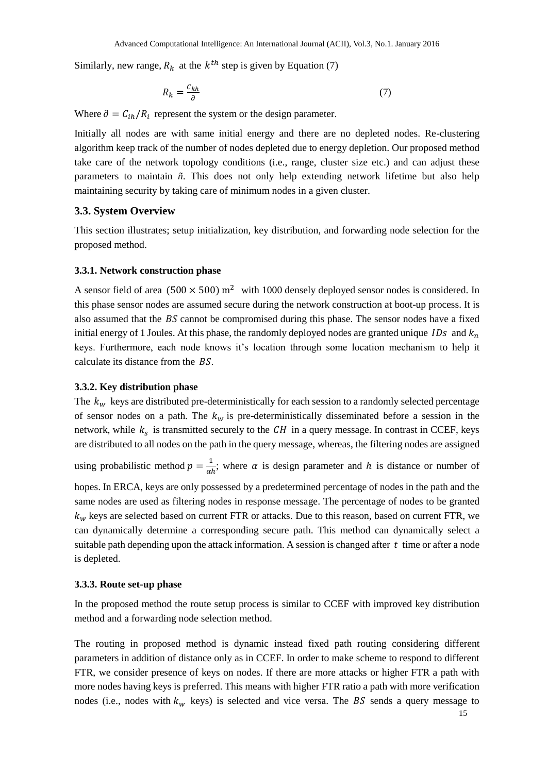Similarly, new range,  $R_k$  at the  $k^{th}$  step is given by Equation (7)

$$
R_k = \frac{c_{kh}}{\partial} \tag{7}
$$

Where  $\partial = C_{ih}/R_i$  represent the system or the design parameter.

Initially all nodes are with same initial energy and there are no depleted nodes. Re-clustering algorithm keep track of the number of nodes depleted due to energy depletion. Our proposed method take care of the network topology conditions (i.e., range, cluster size etc.) and can adjust these parameters to maintain *ñ*. This does not only help extending network lifetime but also help maintaining security by taking care of minimum nodes in a given cluster.

### **3.3. System Overview**

This section illustrates; setup initialization, key distribution, and forwarding node selection for the proposed method.

#### **3.3.1. Network construction phase**

A sensor field of area (500  $\times$  500) m<sup>2</sup> with 1000 densely deployed sensor nodes is considered. In this phase sensor nodes are assumed secure during the network construction at boot-up process. It is also assumed that the  $BS$  cannot be compromised during this phase. The sensor nodes have a fixed initial energy of 1 Joules. At this phase, the randomly deployed nodes are granted unique *IDs* and  $k_n$ keys. Furthermore, each node knows it's location through some location mechanism to help it calculate its distance from the  $BS$ .

# **3.3.2. Key distribution phase**

The  $k_w$  keys are distributed pre-deterministically for each session to a randomly selected percentage of sensor nodes on a path. The  $k_w$  is pre-deterministically disseminated before a session in the network, while  $k_s$  is transmitted securely to the  $CH$  in a query message. In contrast in CCEF, keys are distributed to all nodes on the path in the query message, whereas, the filtering nodes are assigned

using probabilistic method  $p = \frac{1}{n!}$  $\frac{1}{\alpha h}$ ; where  $\alpha$  is design parameter and h is distance or number of

hopes. In ERCA, keys are only possessed by a predetermined percentage of nodes in the path and the same nodes are used as filtering nodes in response message. The percentage of nodes to be granted  $k_w$  keys are selected based on current FTR or attacks. Due to this reason, based on current FTR, we can dynamically determine a corresponding secure path. This method can dynamically select a suitable path depending upon the attack information. A session is changed after  $t$  time or after a node is depleted.

#### **3.3.3. Route set-up phase**

In the proposed method the route setup process is similar to CCEF with improved key distribution method and a forwarding node selection method.

The routing in proposed method is dynamic instead fixed path routing considering different parameters in addition of distance only as in CCEF. In order to make scheme to respond to different FTR, we consider presence of keys on nodes. If there are more attacks or higher FTR a path with more nodes having keys is preferred. This means with higher FTR ratio a path with more verification nodes (i.e., nodes with  $k_w$  keys) is selected and vice versa. The BS sends a query message to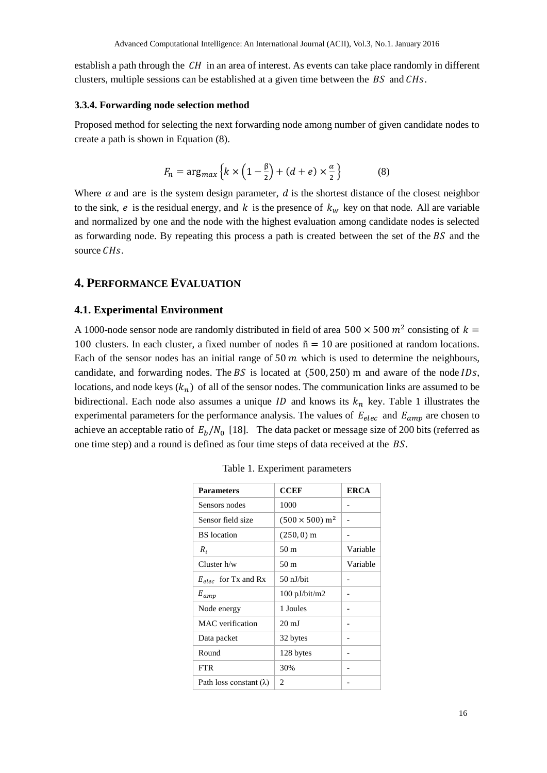establish a path through the  $CH$  in an area of interest. As events can take place randomly in different clusters, multiple sessions can be established at a given time between the  $BS$  and  $CHs$ .

#### **3.3.4. Forwarding node selection method**

Proposed method for selecting the next forwarding node among number of given candidate nodes to create a path is shown in Equation (8).

$$
F_n = \arg_{max} \left\{ k \times \left( 1 - \frac{\beta}{2} \right) + (d + e) \times \frac{\alpha}{2} \right\} \tag{8}
$$

Where  $\alpha$  and are is the system design parameter,  $d$  is the shortest distance of the closest neighbor to the sink,  $e$  is the residual energy, and  $k$  is the presence of  $k_w$  key on that node. All are variable and normalized by one and the node with the highest evaluation among candidate nodes is selected as forwarding node. By repeating this process a path is created between the set of the  $BS$  and the source CH<sub>s</sub>.

# **4. PERFORMANCE EVALUATION**

## **4.1. Experimental Environment**

A 1000-node sensor node are randomly distributed in field of area  $500 \times 500$   $m^2$  consisting of  $k =$ 100 clusters. In each cluster, a fixed number of nodes  $\tilde{n} = 10$  are positioned at random locations. Each of the sensor nodes has an initial range of  $50 \, m$  which is used to determine the neighbours, candidate, and forwarding nodes. The  $BS$  is located at (500, 250) m and aware of the node IDs, locations, and node keys  $(k_n)$  of all of the sensor nodes. The communication links are assumed to be bidirectional. Each node also assumes a unique *ID* and knows its  $k_n$  key. Table 1 illustrates the experimental parameters for the performance analysis. The values of  $E_{elec}$  and  $E_{amp}$  are chosen to achieve an acceptable ratio of  $E_b/N_0$  [18]. The data packet or message size of 200 bits (referred as one time step) and a round is defined as four time steps of data received at the  $BS$ .

| <b>Parameters</b>              | <b>CCEF</b>                       | <b>ERCA</b> |
|--------------------------------|-----------------------------------|-------------|
| Sensors nodes                  | 1000                              |             |
| Sensor field size              | $(500 \times 500)$ m <sup>2</sup> |             |
| <b>BS</b> location             | $(250, 0)$ m                      |             |
| $R_i$                          | 50 m                              | Variable    |
| Cluster $h/w$                  | 50 m                              | Variable    |
| $E_{elec}$ for Tx and Rx       | 50 nJ/bit                         |             |
| $E_{amp}$                      | $100$ pJ/bit/m2                   |             |
| Node energy                    | 1 Joules                          |             |
| MAC verification               | $20 \text{ mJ}$                   |             |
| Data packet                    | 32 bytes                          |             |
| Round                          | 128 bytes                         |             |
| <b>FTR</b>                     | 30%                               |             |
| Path loss constant $(\lambda)$ | 2                                 |             |

Table 1. Experiment parameters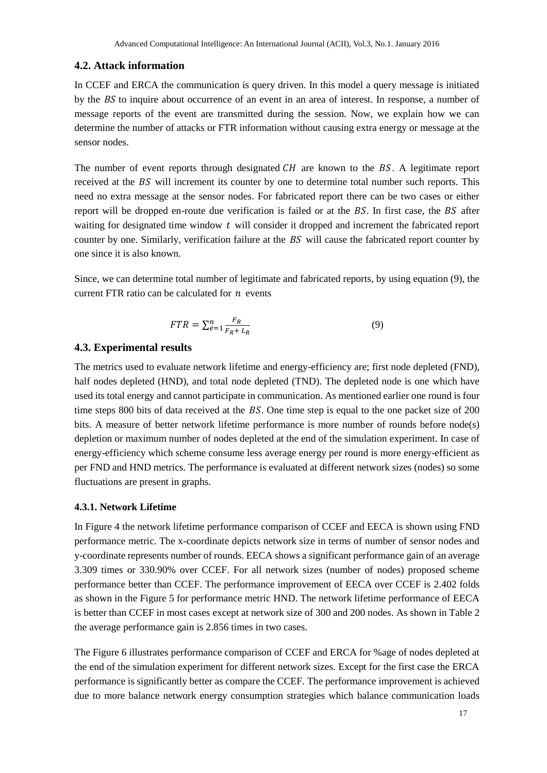## **4.2. Attack information**

In CCEF and ERCA the communication is query driven. In this model a query message is initiated by the  $BS$  to inquire about occurrence of an event in an area of interest. In response, a number of message reports of the event are transmitted during the session. Now, we explain how we can determine the number of attacks or FTR information without causing extra energy or message at the sensor nodes.

The number of event reports through designated  $CH$  are known to the BS. A legitimate report received at the BS will increment its counter by one to determine total number such reports. This need no extra message at the sensor nodes. For fabricated report there can be two cases or either report will be dropped en-route due verification is failed or at the  $BS$ . In first case, the  $BS$  after waiting for designated time window  $t$  will consider it dropped and increment the fabricated report counter by one. Similarly, verification failure at the  $BS$  will cause the fabricated report counter by one since it is also known.

Since, we can determine total number of legitimate and fabricated reports, by using equation (9), the current FTR ratio can be calculated for  $n$  events

$$
FTR = \sum_{e=1}^{n} \frac{F_R}{F_R + L_R} \tag{9}
$$

## **4.3. Experimental results**

The metrics used to evaluate network lifetime and energy-efficiency are; first node depleted (FND), half nodes depleted (HND), and total node depleted (TND). The depleted node is one which have used its total energy and cannot participate in communication. As mentioned earlier one round is four time steps 800 bits of data received at the  $BS$ . One time step is equal to the one packet size of 200 bits. A measure of better network lifetime performance is more number of rounds before node(s) depletion or maximum number of nodes depleted at the end of the simulation experiment. In case of energy-efficiency which scheme consume less average energy per round is more energy-efficient as per FND and HND metrics. The performance is evaluated at different network sizes (nodes) so some fluctuations are present in graphs.

## **4.3.1. Network Lifetime**

In Figure 4 the network lifetime performance comparison of CCEF and EECA is shown using FND performance metric. The x-coordinate depicts network size in terms of number of sensor nodes and y-coordinate represents number of rounds. EECA shows a significant performance gain of an average 3.309 times or 330.90% over CCEF. For all network sizes (number of nodes) proposed scheme performance better than CCEF. The performance improvement of EECA over CCEF is 2.402 folds as shown in the Figure 5 for performance metric HND. The network lifetime performance of EECA is better than CCEF in most cases except at network size of 300 and 200 nodes. As shown in Table 2 the average performance gain is 2.856 times in two cases.

The Figure 6 illustrates performance comparison of CCEF and ERCA for %age of nodes depleted at the end of the simulation experiment for different network sizes. Except for the first case the ERCA performance is significantly better as compare the CCEF. The performance improvement is achieved due to more balance network energy consumption strategies which balance communication loads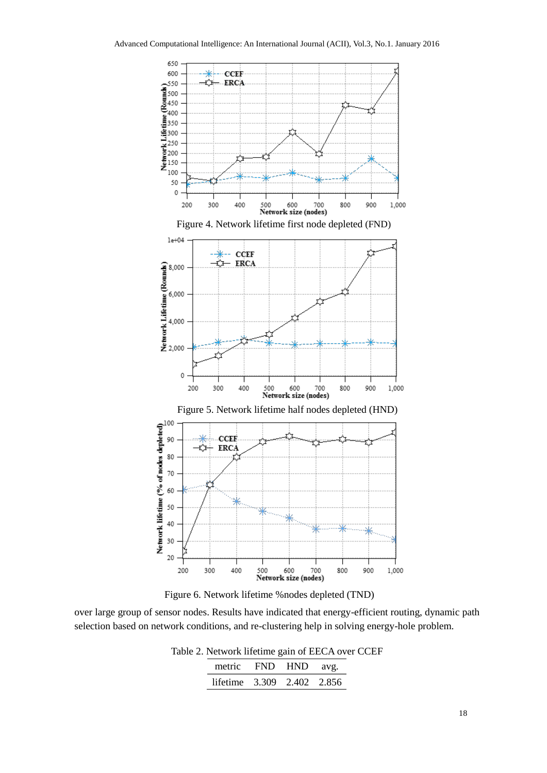



over large group of sensor nodes. Results have indicated that energy-efficient routing, dynamic path selection based on network conditions, and re-clustering help in solving energy-hole problem.

> Table 2. Network lifetime gain of EECA over CCEF metric FND HND avg. lifetime 3.309 2.402 2.856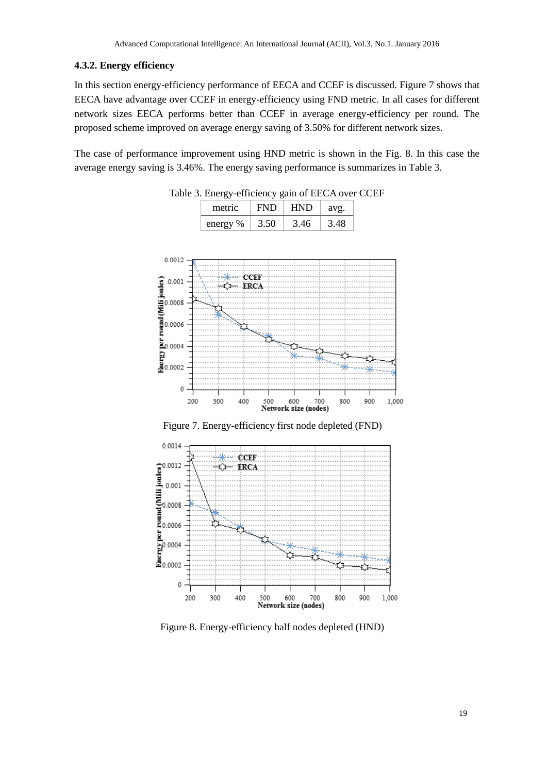## **4.3.2. Energy efficiency**

In this section energy-efficiency performance of EECA and CCEF is discussed. Figure 7 shows that EECA have advantage over CCEF in energy-efficiency using FND metric. In all cases for different network sizes EECA performs better than CCEF in average energy-efficiency per round. The proposed scheme improved on average energy saving of 3.50% for different network sizes.

The case of performance improvement using HND metric is shown in the Fig. 8. In this case the average energy saving is 3.46%. The energy saving performance is summarizes in Table 3.



Table 3. Energy-efficiency gain of EECA over CCEF metric | FND | HND | avg.

energy %  $\vert$  3.50  $\vert$  3.46  $\vert$  3.48

Figure 7. Energy-efficiency first node depleted (FND)



Figure 8. Energy-efficiency half nodes depleted (HND)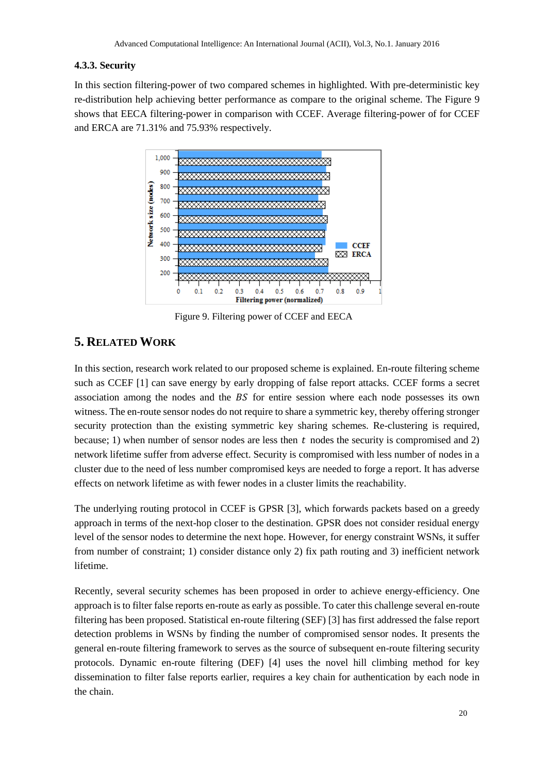## **4.3.3. Security**

In this section filtering-power of two compared schemes in highlighted. With pre-deterministic key re-distribution help achieving better performance as compare to the original scheme. The Figure 9 shows that EECA filtering-power in comparison with CCEF. Average filtering-power of for CCEF and ERCA are 71.31% and 75.93% respectively.



Figure 9. Filtering power of CCEF and EECA

# **5. RELATED WORK**

In this section, research work related to our proposed scheme is explained. En-route filtering scheme such as CCEF [1] can save energy by early dropping of false report attacks. CCEF forms a secret association among the nodes and the  $BS$  for entire session where each node possesses its own witness. The en-route sensor nodes do not require to share a symmetric key, thereby offering stronger security protection than the existing symmetric key sharing schemes. Re-clustering is required, because; 1) when number of sensor nodes are less then  $t$  nodes the security is compromised and 2) network lifetime suffer from adverse effect. Security is compromised with less number of nodes in a cluster due to the need of less number compromised keys are needed to forge a report. It has adverse effects on network lifetime as with fewer nodes in a cluster limits the reachability.

The underlying routing protocol in CCEF is GPSR [3], which forwards packets based on a greedy approach in terms of the next-hop closer to the destination. GPSR does not consider residual energy level of the sensor nodes to determine the next hope. However, for energy constraint WSNs, it suffer from number of constraint; 1) consider distance only 2) fix path routing and 3) inefficient network lifetime.

Recently, several security schemes has been proposed in order to achieve energy-efficiency. One approach is to filter false reports en-route as early as possible. To cater this challenge several en-route filtering has been proposed. Statistical en-route filtering (SEF) [3] has first addressed the false report detection problems in WSNs by finding the number of compromised sensor nodes. It presents the general en-route filtering framework to serves as the source of subsequent en-route filtering security protocols. Dynamic en-route filtering (DEF) [4] uses the novel hill climbing method for key dissemination to filter false reports earlier, requires a key chain for authentication by each node in the chain.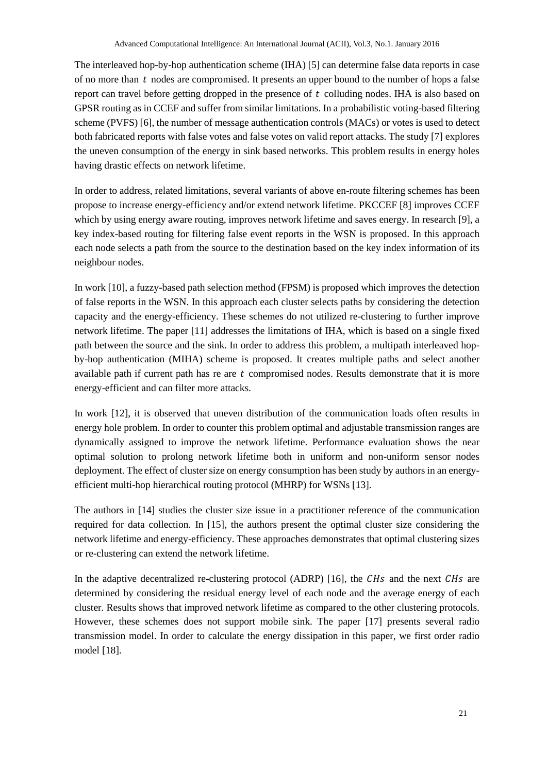The interleaved hop-by-hop authentication scheme (IHA) [5] can determine false data reports in case of no more than  $t$  nodes are compromised. It presents an upper bound to the number of hops a false report can travel before getting dropped in the presence of  $t$  colluding nodes. IHA is also based on GPSR routing as in CCEF and suffer from similar limitations. In a probabilistic voting-based filtering scheme (PVFS) [6], the number of message authentication controls (MACs) or votes is used to detect both fabricated reports with false votes and false votes on valid report attacks. The study [7] explores the uneven consumption of the energy in sink based networks. This problem results in energy holes having drastic effects on network lifetime.

In order to address, related limitations, several variants of above en-route filtering schemes has been propose to increase energy-efficiency and/or extend network lifetime. PKCCEF [8] improves CCEF which by using energy aware routing, improves network lifetime and saves energy. In research [9], a key index-based routing for filtering false event reports in the WSN is proposed. In this approach each node selects a path from the source to the destination based on the key index information of its neighbour nodes.

In work [10], a fuzzy-based path selection method (FPSM) is proposed which improves the detection of false reports in the WSN. In this approach each cluster selects paths by considering the detection capacity and the energy-efficiency. These schemes do not utilized re-clustering to further improve network lifetime. The paper [11] addresses the limitations of IHA, which is based on a single fixed path between the source and the sink. In order to address this problem, a multipath interleaved hopby-hop authentication (MIHA) scheme is proposed. It creates multiple paths and select another available path if current path has re are  $t$  compromised nodes. Results demonstrate that it is more energy-efficient and can filter more attacks.

In work [12], it is observed that uneven distribution of the communication loads often results in energy hole problem. In order to counter this problem optimal and adjustable transmission ranges are dynamically assigned to improve the network lifetime. Performance evaluation shows the near optimal solution to prolong network lifetime both in uniform and non-uniform sensor nodes deployment. The effect of cluster size on energy consumption has been study by authors in an energyefficient multi-hop hierarchical routing protocol (MHRP) for WSNs [13].

The authors in [14] studies the cluster size issue in a practitioner reference of the communication required for data collection. In [15], the authors present the optimal cluster size considering the network lifetime and energy-efficiency. These approaches demonstrates that optimal clustering sizes or re-clustering can extend the network lifetime.

In the adaptive decentralized re-clustering protocol (ADRP) [16], the  $CHs$  and the next  $CHs$  are determined by considering the residual energy level of each node and the average energy of each cluster. Results shows that improved network lifetime as compared to the other clustering protocols. However, these schemes does not support mobile sink. The paper [17] presents several radio transmission model. In order to calculate the energy dissipation in this paper, we first order radio model [18].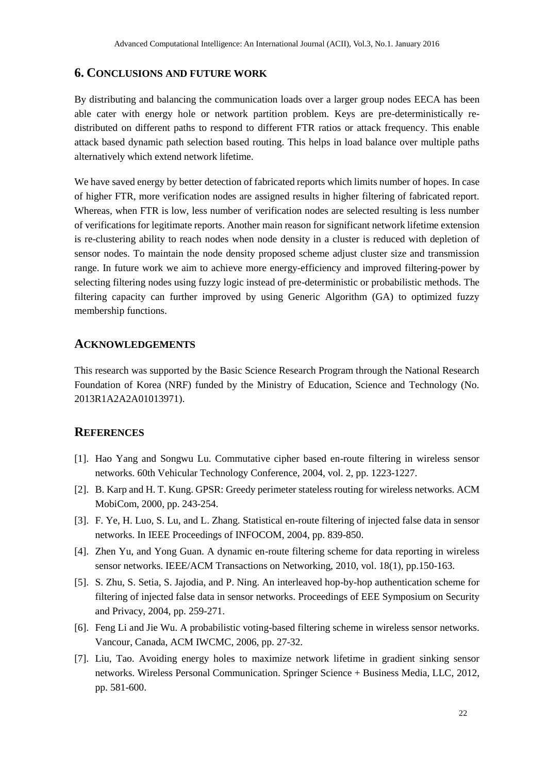# **6. CONCLUSIONS AND FUTURE WORK**

By distributing and balancing the communication loads over a larger group nodes EECA has been able cater with energy hole or network partition problem. Keys are pre-deterministically redistributed on different paths to respond to different FTR ratios or attack frequency. This enable attack based dynamic path selection based routing. This helps in load balance over multiple paths alternatively which extend network lifetime.

We have saved energy by better detection of fabricated reports which limits number of hopes. In case of higher FTR, more verification nodes are assigned results in higher filtering of fabricated report. Whereas, when FTR is low, less number of verification nodes are selected resulting is less number of verifications for legitimate reports. Another main reason for significant network lifetime extension is re-clustering ability to reach nodes when node density in a cluster is reduced with depletion of sensor nodes. To maintain the node density proposed scheme adjust cluster size and transmission range. In future work we aim to achieve more energy-efficiency and improved filtering-power by selecting filtering nodes using fuzzy logic instead of pre-deterministic or probabilistic methods. The filtering capacity can further improved by using Generic Algorithm (GA) to optimized fuzzy membership functions.

# **ACKNOWLEDGEMENTS**

This research was supported by the Basic Science Research Program through the National Research Foundation of Korea (NRF) funded by the Ministry of Education, Science and Technology (No. 2013R1A2A2A01013971).

## **REFERENCES**

- [1]. Hao Yang and Songwu Lu. Commutative cipher based en-route filtering in wireless sensor networks. 60th Vehicular Technology Conference, 2004, vol. 2, pp. 1223-1227.
- [2]. B. Karp and H. T. Kung. GPSR: Greedy perimeter stateless routing for wireless networks. ACM MobiCom, 2000, pp. 243-254.
- [3]. F. Ye, H. Luo, S. Lu, and L. Zhang. Statistical en-route filtering of injected false data in sensor networks. In IEEE Proceedings of INFOCOM, 2004, pp. 839-850.
- [4]. Zhen Yu, and Yong Guan. A dynamic en-route filtering scheme for data reporting in wireless sensor networks. IEEE/ACM Transactions on Networking, 2010, vol. 18(1), pp.150-163.
- [5]. S. Zhu, S. Setia, S. Jajodia, and P. Ning. An interleaved hop-by-hop authentication scheme for filtering of injected false data in sensor networks. Proceedings of EEE Symposium on Security and Privacy, 2004, pp. 259-271.
- [6]. Feng Li and Jie Wu. A probabilistic voting-based filtering scheme in wireless sensor networks. Vancour, Canada, ACM IWCMC, 2006, pp. 27-32.
- [7]. Liu, Tao. Avoiding energy holes to maximize network lifetime in gradient sinking sensor networks. Wireless Personal Communication. Springer Science + Business Media, LLC, 2012, pp. 581-600.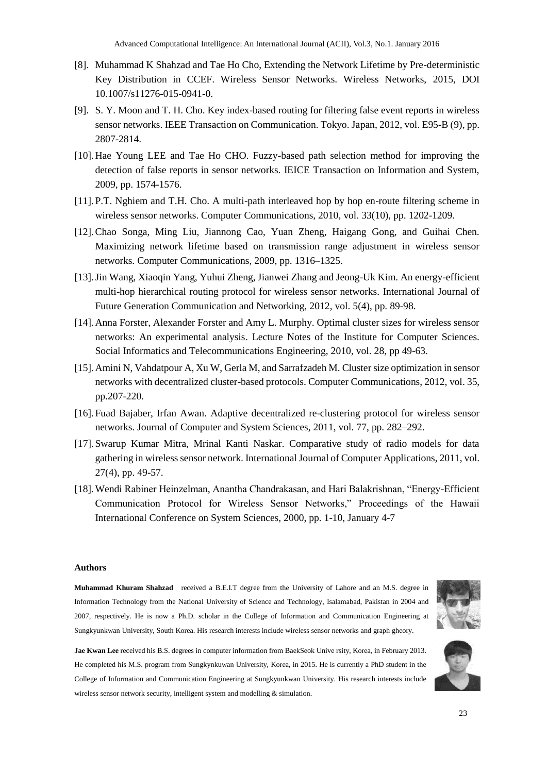- [8]. Muhammad K Shahzad and Tae Ho Cho, Extending the Network Lifetime by Pre-deterministic Key Distribution in CCEF. Wireless Sensor Networks. Wireless Networks, 2015, DOI 10.1007/s11276-015-0941-0.
- [9]. S. Y. Moon and T. H. Cho. Key index-based routing for filtering false event reports in wireless sensor networks. IEEE Transaction on Communication. Tokyo. Japan, 2012, vol. E95-B (9), pp. 2807-2814.
- [10].Hae Young LEE and Tae Ho CHO. Fuzzy-based path selection method for improving the detection of false reports in sensor networks. IEICE Transaction on Information and System, 2009, pp. 1574-1576.
- [11].P.T. Nghiem and T.H. Cho. A multi-path interleaved hop by hop en-route filtering scheme in wireless sensor networks. Computer Communications, 2010, vol. 33(10), pp. 1202-1209.
- [12].Chao Songa, Ming Liu, Jiannong Cao, Yuan Zheng, Haigang Gong, and Guihai Chen. Maximizing network lifetime based on transmission range adjustment in wireless sensor networks. Computer Communications, 2009, pp. 1316–1325.
- [13].Jin Wang, Xiaoqin Yang, Yuhui Zheng, Jianwei Zhang and Jeong-Uk Kim. An energy-efficient multi-hop hierarchical routing protocol for wireless sensor networks. International Journal of Future Generation Communication and Networking, 2012, vol. 5(4), pp. 89-98.
- [14].Anna Forster, Alexander Forster and Amy L. Murphy. Optimal cluster sizes for wireless sensor networks: An experimental analysis. [Lecture Notes of the Institute for Computer Sciences.](http://link.springer.com/bookseries/8197)  [Social Informatics and Telecommunications Engineering,](http://link.springer.com/bookseries/8197) 2010, vol. 28, pp 49-63.
- [15].Amini N, Vahdatpour A, Xu W, Gerla M, and Sarrafzadeh M. Cluster size optimization in sensor networks with decentralized cluster-based protocols. Computer Communications, 2012, vol. 35, pp.207-220.
- [16].Fuad Bajaber, Irfan Awan. Adaptive decentralized re-clustering protocol for wireless sensor networks. Journal of Computer and System Sciences, 2011, vol. 77, pp. 282–292.
- [17].Swarup Kumar Mitra, Mrinal Kanti Naskar. Comparative study of radio models for data gathering in wireless sensor network. International Journal of Computer Applications, 2011, vol. 27(4), pp. 49-57.
- [18].Wendi Rabiner Heinzelman, Anantha Chandrakasan, and Hari Balakrishnan, "Energy-Efficient Communication Protocol for Wireless Sensor Networks," Proceedings of the Hawaii International Conference on System Sciences, 2000, pp. 1-10, January 4-7

#### **Authors**

**Muhammad Khuram Shahzad** received a B.E.I.T degree from the University of Lahore and an M.S. degree in Information Technology from the National University of Science and Technology, Isalamabad, Pakistan in 2004 and 2007, respectively. He is now a Ph.D. scholar in the College of Information and Communication Engineering at Sungkyunkwan University, South Korea. His research interests include wireless sensor networks and graph gheory.

**Jae Kwan Lee** received his B.S. degrees in computer information from BaekSeok Unive rsity, Korea, in February 2013. He completed his M.S. program from Sungkynkuwan University, Korea, in 2015. He is currently a PhD student in the College of Information and Communication Engineering at Sungkyunkwan University. His research interests include wireless sensor network security, intelligent system and modelling & simulation.